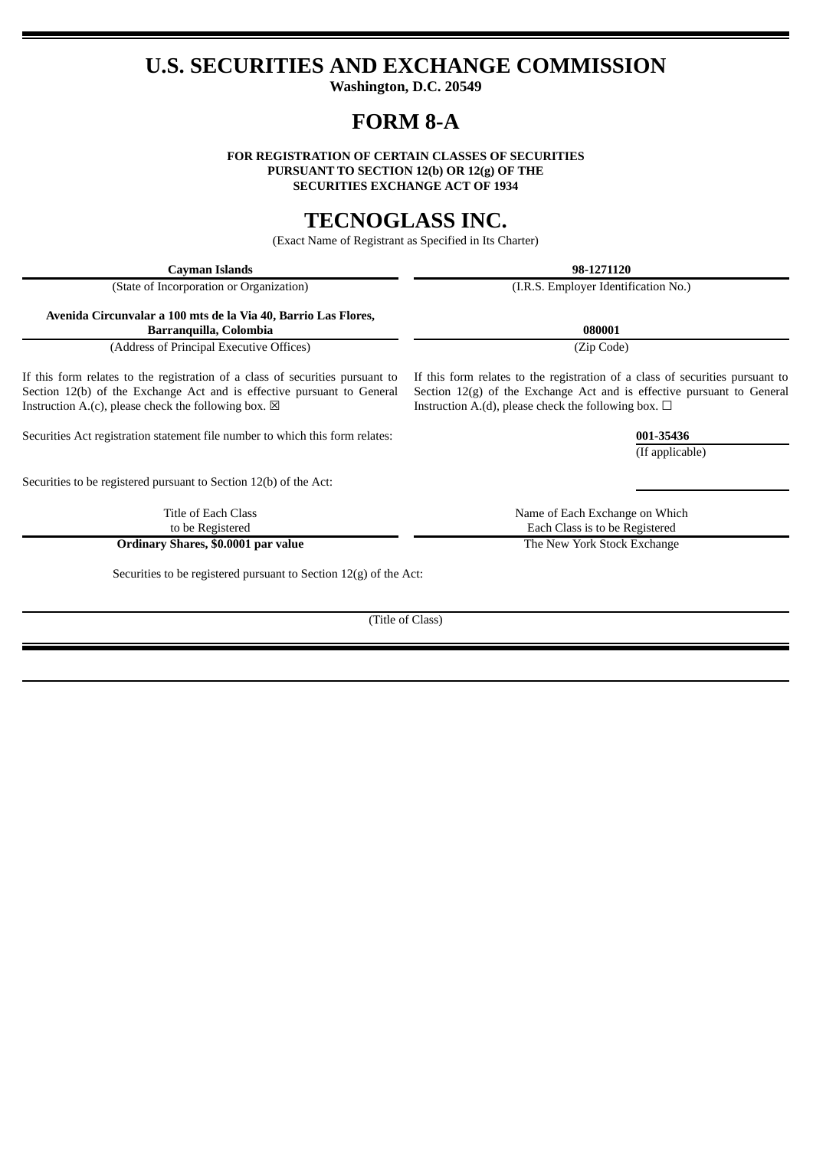## **U.S. SECURITIES AND EXCHANGE COMMISSION**

**Washington, D.C. 20549**

# **FORM 8-A**

**FOR REGISTRATION OF CERTAIN CLASSES OF SECURITIES PURSUANT TO SECTION 12(b) OR 12(g) OF THE SECURITIES EXCHANGE ACT OF 1934**

## **TECNOGLASS INC.**

(Exact Name of Registrant as Specified in Its Charter)

**Cayman Islands 98-1271120** (State of Incorporation or Organization) (I.R.S. Employer Identification No.) **Avenida Circunvalar a 100 mts de la Via 40, Barrio Las Flores, Barranquilla, Colombia 080001** (Address of Principal Executive Offices) (Zip Code) If this form relates to the registration of a class of securities pursuant to Section 12(b) of the Exchange Act and is effective pursuant to General Instruction A.(c), please check the following box.  $\boxtimes$ If this form relates to the registration of a class of securities pursuant to Section 12(g) of the Exchange Act and is effective pursuant to General Instruction A.(d), please check the following box.  $\Box$ Securities Act registration statement file number to which this form relates: **001-35436** (If applicable) Securities to be registered pursuant to Section 12(b) of the Act: Title of Each Class to be Registered Name of Each Exchange on Which Each Class is to be Registered **Ordinary Shares, \$0.0001 par value** The New York Stock Exchange Securities to be registered pursuant to Section 12(g) of the Act: (Title of Class)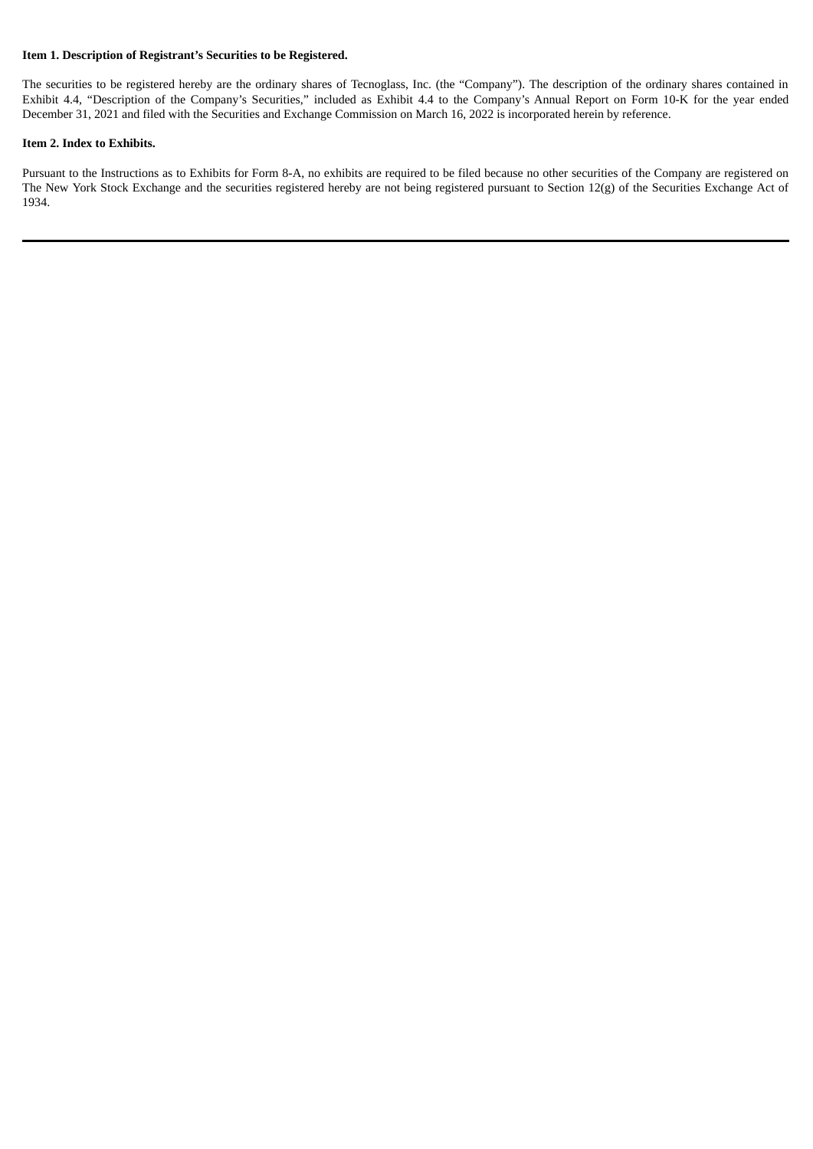#### **Item 1. Description of Registrant's Securities to be Registered.**

The securities to be registered hereby are the ordinary shares of Tecnoglass, Inc. (the "Company"). The description of the ordinary shares contained in Exhibit 4.4, "Description of the Company's Securities," included as Exhibit 4.4 to the Company's Annual Report on Form 10-K for the year ended December 31, 2021 and filed with the Securities and Exchange Commission on March 16, 2022 is incorporated herein by reference.

#### **Item 2. Index to Exhibits.**

Pursuant to the Instructions as to Exhibits for Form 8-A, no exhibits are required to be filed because no other securities of the Company are registered on The New York Stock Exchange and the securities registered hereby are not being registered pursuant to Section 12(g) of the Securities Exchange Act of 1934.